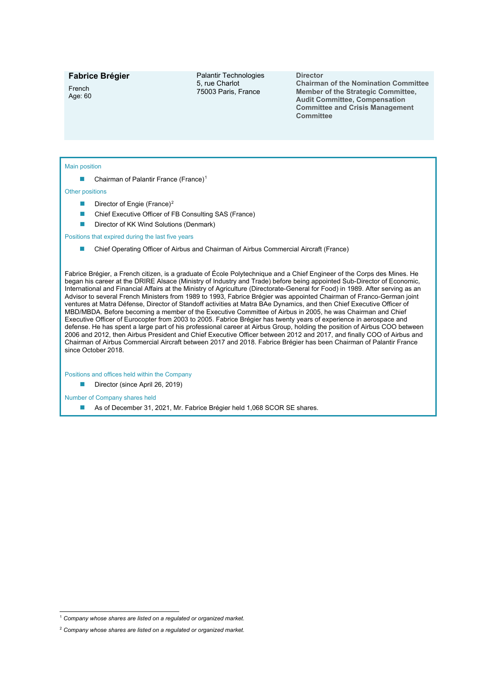# **Fabrice Brégier**

French Age: 60 Palantir Technologies 5, rue Charlot 75003 Paris, France

#### **Director**

**Chairman of the Nomination Committee Member of the Strategic Committee, Audit Committee, Compensation Committee and Crisis Management Committee**

### Main position

■ Chairman of Palantir France (France)<sup>[1](#page-0-0)</sup>

Other positions

- Director of Engie (France)<sup>[2](#page-0-1)</sup>
- Chief Executive Officer of FB Consulting SAS (France)
- Director of KK Wind Solutions (Denmark)

Positions that expired during the last five years

■ Chief Operating Officer of Airbus and Chairman of Airbus Commercial Aircraft (France)

Fabrice Brégier, a French citizen, is a graduate of École Polytechnique and a Chief Engineer of the Corps des Mines. He began his career at the DRIRE Alsace (Ministry of Industry and Trade) before being appointed Sub-Director of Economic, International and Financial Affairs at the Ministry of Agriculture (Directorate-General for Food) in 1989. After serving as an Advisor to several French Ministers from 1989 to 1993, Fabrice Brégier was appointed Chairman of Franco-German joint ventures at Matra Défense, Director of Standoff activities at Matra BAe Dynamics, and then Chief Executive Officer of MBD/MBDA. Before becoming a member of the Executive Committee of Airbus in 2005, he was Chairman and Chief Executive Officer of Eurocopter from 2003 to 2005. Fabrice Brégier has twenty years of experience in aerospace and defense. He has spent a large part of his professional career at Airbus Group, holding the position of Airbus COO between 2006 and 2012, then Airbus President and Chief Executive Officer between 2012 and 2017, and finally COO of Airbus and Chairman of Airbus Commercial Aircraft between 2017 and 2018. Fabrice Brégier has been Chairman of Palantir France since October 2018.

Positions and offices held within the Company

Director (since April 26, 2019)

Number of Company shares held

■ As of December 31, 2021, Mr. Fabrice Brégier held 1,068 SCOR SE shares.

<span id="page-0-0"></span><sup>1</sup> *Company whose shares are listed on a regulated or organized market.*

<span id="page-0-1"></span><sup>2</sup> *Company whose shares are listed on a regulated or organized market.*